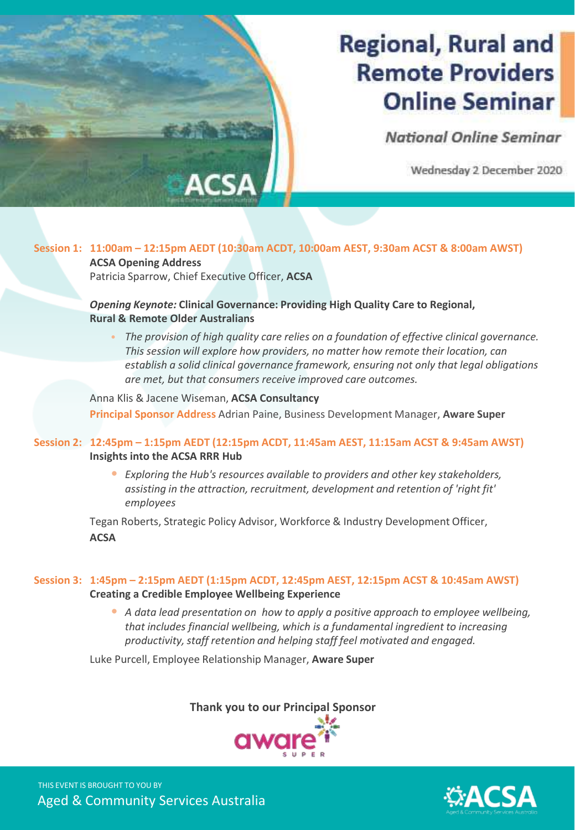# **Regional, Rural and Remote Providers Online Seminar**

National Online Seminar

Wednesday 2 December 2020

### **Session 1: 11:00am – 12:15pm AEDT (10:30am ACDT, 10:00am AEST, 9:30am ACST & 8:00am AWST)**

**ACSA Opening Address** Patricia Sparrow, Chief Executive Officer, **ACSA**

#### *Opening Keynote:* **Clinical Governance: Providing High Quality Care to Regional, Rural & Remote Older Australians**

• *The provision of high quality care relies on a foundation of effective clinical governance. This session will explore how providers, no matter how remote their location, can establish a solid clinical governance framework, ensuring not only that legal obligations are met, but that consumers receive improved care outcomes.*

Anna Klis & Jacene Wiseman, **ACSA Consultancy**

**Principal Sponsor Address** Adrian Paine, Business Development Manager, **Aware Super**

#### **Session 2: 12:45pm – 1:15pm AEDT (12:15pm ACDT, 11:45am AEST, 11:15am ACST & 9:45am AWST) Insights into the ACSA RRR Hub**

• *Exploring the Hub's resources available to providers and other key stakeholders, assisting in the attraction, recruitment, development and retention of 'right fit' employees*

Tegan Roberts, Strategic Policy Advisor, Workforce & Industry Development Officer, **ACSA**

#### **Session 3: 1:45pm – 2:15pm AEDT (1:15pm ACDT, 12:45pm AEST, 12:15pm ACST & 10:45am AWST) Creating a Credible Employee Wellbeing Experience**

• *A data lead presentation on how to apply a positive approach to employee wellbeing, that includes financial wellbeing, which is a fundamental ingredient to increasing productivity, staff retention and helping staff feel motivated and engaged.*

Luke Purcell, Employee Relationship Manager, **Aware Super**



Aged & Community Services Australia THIS EVENT IS BROUGHT TO YOU BY

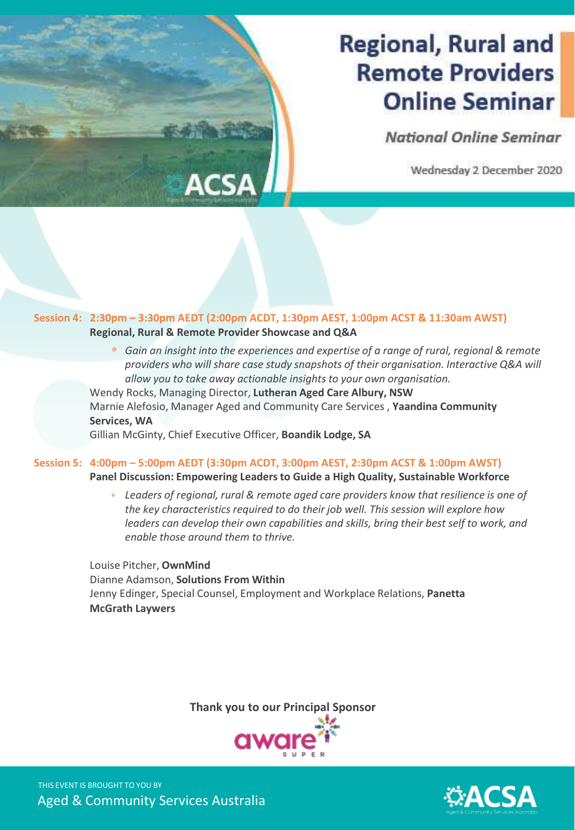# **Regional, Rural and Remote Providers Online Seminar**

National Online Seminar

Wednesday 2 December 2020

#### **Session 4: 2:30pm – 3:30pm AEDT (2:00pm ACDT, 1:30pm AEST, 1:00pm ACST & 11:30am AWST) Regional, Rural & Remote Provider Showcase and Q&A**

• *Gain an insight into the experiences and expertise of a range of rural, regional & remote providers who will share case study snapshots of their organisation. Interactive Q&A will allow you to take away actionable insights to your own organisation.*

Wendy Rocks, Managing Director, **Lutheran Aged Care Albury, NSW** Marnie Alefosio, Manager Aged and Community Care Services , **Yaandina Community Services, WA**

Gillian McGinty, Chief Executive Officer, **Boandik Lodge, SA**

#### **Session 5: 4:00pm – 5:00pm AEDT (3:30pm ACDT, 3:00pm AEST, 2:30pm ACST & 1:00pm AWST) Panel Discussion: Empowering Leaders to Guide a High Quality, Sustainable Workforce**

• *Leaders of regional, rural & remote aged care providers know that resilience is one of the key characteristics required to do their job well. This session will explore how leaders can develop their own capabilities and skills, bring their best self to work, and enable those around them to thrive.*

Louise Pitcher, **OwnMind** Dianne Adamson, **Solutions From Within** Jenny Edinger, Special Counsel, Employment and Workplace Relations, **Panetta McGrath Laywers**



Aged & Community Services Australia THIS EVENT IS BROUGHT TO YOU BY